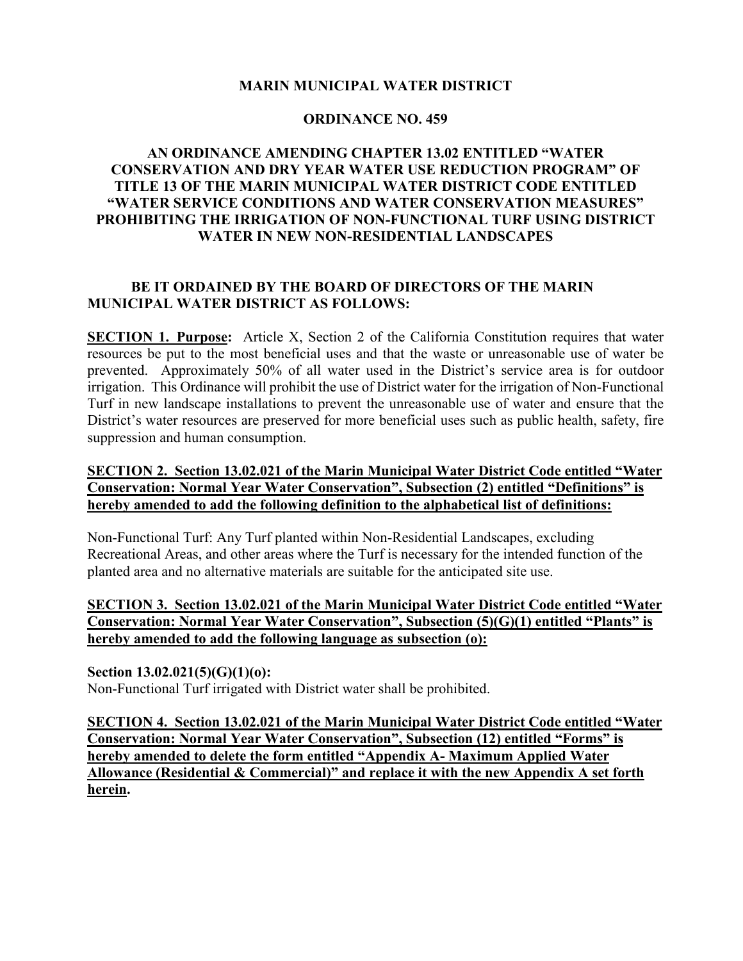#### **MARIN MUNICIPAL WATER DISTRICT**

#### **ORDINANCE NO. 459**

# **AN ORDINANCE AMENDING CHAPTER 13.02 ENTITLED "WATER CONSERVATION AND DRY YEAR WATER USE REDUCTION PROGRAM" OF TITLE 13 OF THE MARIN MUNICIPAL WATER DISTRICT CODE ENTITLED "WATER SERVICE CONDITIONS AND WATER CONSERVATION MEASURES" PROHIBITING THE IRRIGATION OF NON-FUNCTIONAL TURF USING DISTRICT WATER IN NEW NON-RESIDENTIAL LANDSCAPES**

# **BE IT ORDAINED BY THE BOARD OF DIRECTORS OF THE MARIN MUNICIPAL WATER DISTRICT AS FOLLOWS:**

**SECTION 1. Purpose:** Article X, Section 2 of the California Constitution requires that water resources be put to the most beneficial uses and that the waste or unreasonable use of water be prevented. Approximately 50% of all water used in the District's service area is for outdoor irrigation. This Ordinance will prohibit the use of District water for the irrigation of Non-Functional Turf in new landscape installations to prevent the unreasonable use of water and ensure that the District's water resources are preserved for more beneficial uses such as public health, safety, fire suppression and human consumption.

## **SECTION 2. Section 13.02.021 of the Marin Municipal Water District Code entitled "Water Conservation: Normal Year Water Conservation", Subsection (2) entitled "Definitions" is hereby amended to add the following definition to the alphabetical list of definitions:**

Non-Functional Turf: Any Turf planted within Non-Residential Landscapes, excluding Recreational Areas, and other areas where the Turf is necessary for the intended function of the planted area and no alternative materials are suitable for the anticipated site use.

# **SECTION 3. Section 13.02.021 of the Marin Municipal Water District Code entitled "Water Conservation: Normal Year Water Conservation", Subsection (5)(G)(1) entitled "Plants" is hereby amended to add the following language as subsection (o):**

#### **Section 13.02.021(5)(G)(1)(o):**

Non-Functional Turf irrigated with District water shall be prohibited.

**SECTION 4. Section 13.02.021 of the Marin Municipal Water District Code entitled "Water Conservation: Normal Year Water Conservation", Subsection (12) entitled "Forms" is hereby amended to delete the form entitled "Appendix A- Maximum Applied Water Allowance (Residential & Commercial)" and replace it with the new Appendix A set forth herein.**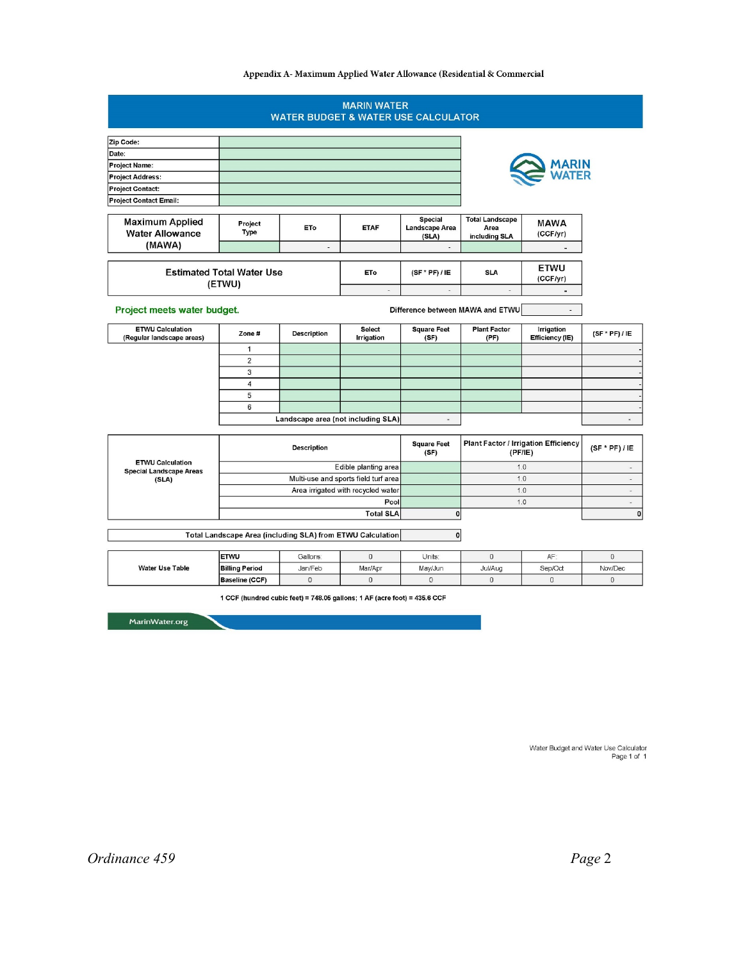#### Appendix A- Maximum Applied Water Allowance (Residential & Commercial

|                                                                    |                                      |                    | <b>MARIN WATER</b><br><b>WATER BUDGET &amp; WATER USE CALCULATOR</b> |                                           |                                                        |                               |                          |
|--------------------------------------------------------------------|--------------------------------------|--------------------|----------------------------------------------------------------------|-------------------------------------------|--------------------------------------------------------|-------------------------------|--------------------------|
| Zip Code:                                                          |                                      |                    |                                                                      |                                           |                                                        |                               |                          |
| Date:                                                              |                                      |                    |                                                                      |                                           |                                                        |                               |                          |
| <b>Project Name:</b>                                               |                                      |                    |                                                                      |                                           |                                                        | <b>1ARIN</b>                  |                          |
| <b>Project Address:</b>                                            |                                      |                    |                                                                      |                                           |                                                        |                               |                          |
| <b>Project Contact:</b>                                            |                                      |                    |                                                                      |                                           |                                                        |                               |                          |
| <b>Project Contact Email:</b>                                      |                                      |                    |                                                                      |                                           |                                                        |                               |                          |
| <b>Maximum Applied</b><br><b>Water Allowance</b>                   | Project<br>Type                      | ET <sub>o</sub>    | <b>ETAF</b>                                                          | <b>Special</b><br>Landscape Area<br>(SLA) | <b>Total Landscape</b><br>Area<br>including SLA        | <b>MAWA</b><br>(CCF/yr)       |                          |
| (MAWA)                                                             |                                      | ÷,                 |                                                                      | ÷.                                        |                                                        | $\blacksquare$                |                          |
| <b>Estimated Total Water Use</b><br>(ETWU)                         |                                      |                    | <b>ETo</b>                                                           | $(SF * PF) / IE$                          | <b>SLA</b>                                             | <b>ETWU</b><br>(CCF/yr)       |                          |
|                                                                    |                                      |                    | $\overline{a}$                                                       | $\overline{a}$                            | $\overline{a}$                                         | $\blacksquare$                |                          |
| Project meets water budget.                                        |                                      |                    |                                                                      |                                           | Difference between MAWA and ETWU                       | $\blacksquare$                |                          |
| <b>ETWU Calculation</b><br>(Regular landscape areas)               | Zone#                                | <b>Description</b> | <b>Select</b><br>Irrigation                                          | <b>Square Feet</b><br>(SF)                | <b>Plant Factor</b><br>(PF)                            | Irrigation<br>Efficiency (IE) | $(SF * PF) / IE$         |
|                                                                    | $\mathbf{1}$                         |                    |                                                                      |                                           |                                                        |                               |                          |
|                                                                    | $\overline{2}$                       |                    |                                                                      |                                           |                                                        |                               |                          |
|                                                                    | 3                                    |                    |                                                                      |                                           |                                                        |                               |                          |
|                                                                    | $\overline{\mathbf{4}}$              |                    |                                                                      |                                           |                                                        |                               |                          |
|                                                                    | 5                                    |                    |                                                                      |                                           |                                                        |                               |                          |
|                                                                    | 6                                    |                    |                                                                      |                                           |                                                        |                               |                          |
|                                                                    |                                      |                    | Landscape area (not including SLA)                                   | ¥,                                        |                                                        |                               | $\blacksquare$           |
|                                                                    | <b>Description</b>                   |                    |                                                                      | <b>Square Feet</b><br>(SF)                | <b>Plant Factor / Irrigation Efficiency</b><br>(PF/IE) |                               | $(SF * PF) / IE$         |
| <b>ETWU Calculation</b><br><b>Special Landscape Areas</b><br>(SLA) | Edible planting area                 |                    |                                                                      |                                           | 1.0                                                    |                               | $\overline{\phantom{a}}$ |
|                                                                    | Multi-use and sports field turf area |                    |                                                                      |                                           | 1.0                                                    |                               | $\sim$                   |
|                                                                    | Area irrigated with recycled water   |                    |                                                                      |                                           | 1.0                                                    |                               | $\overline{\phantom{a}}$ |
|                                                                    | Pool                                 |                    |                                                                      |                                           | 1.0                                                    |                               | a.                       |
|                                                                    | <b>Total SLA</b>                     |                    |                                                                      | 0                                         |                                                        |                               | $\mathbf{0}$             |
|                                                                    |                                      |                    | Total Landscape Area (including SLA) from ETWU Calculation           | $\mathbf{O}$                              |                                                        |                               |                          |
|                                                                    | <b>ETWU</b>                          | Gallons:           | $\mathbf 0$                                                          | Units:                                    | $\mathbf 0$                                            | AF:                           | $\mathbf 0$              |
| <b>Water Use Table</b>                                             | <b>Billing Period</b>                | Jan/Feb            | Mar/Apr                                                              | May/Jun                                   | Jul/Aug                                                | Sep/Oct                       | Nov/Dec                  |
|                                                                    | <b>Baseline (CCF)</b>                | $\circ$            | $\mathbf 0$                                                          | $\Omega$                                  | $\Omega$                                               | $\overline{0}$                | $\Omega$                 |

MarinWater.org

Water Budget and Water Use Calculator<br>1 Page 1 of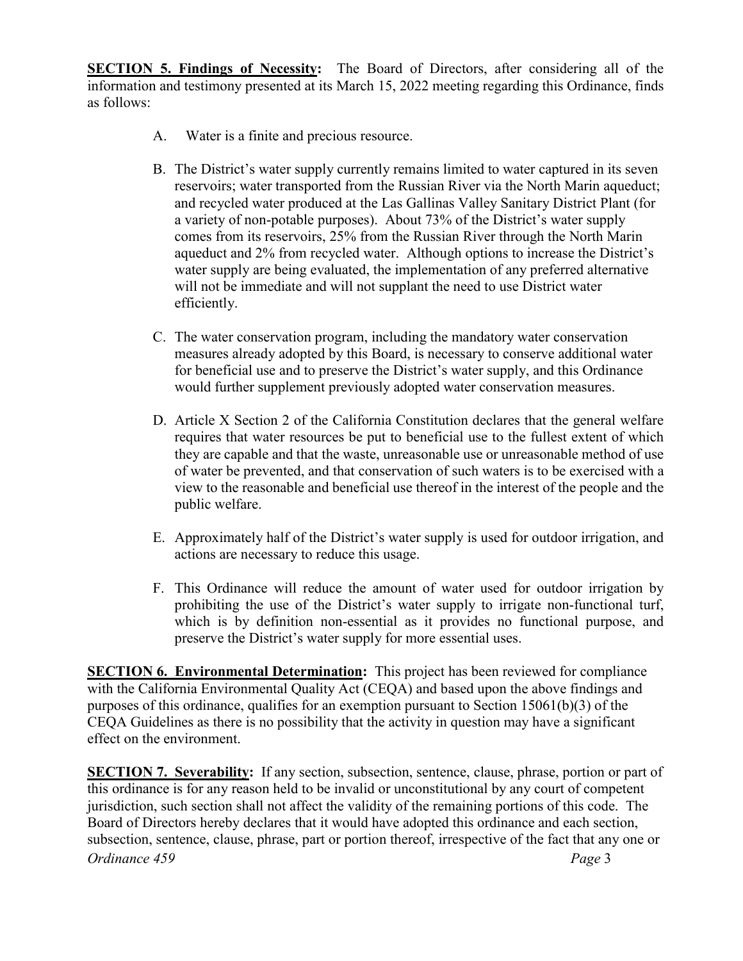**SECTION 5. Findings of Necessity:** The Board of Directors, after considering all of the information and testimony presented at its March 15, 2022 meeting regarding this Ordinance, finds as follows:

- A. Water is a finite and precious resource.
- B. The District's water supply currently remains limited to water captured in its seven reservoirs; water transported from the Russian River via the North Marin aqueduct; and recycled water produced at the Las Gallinas Valley Sanitary District Plant (for a variety of non-potable purposes). About 73% of the District's water supply comes from its reservoirs, 25% from the Russian River through the North Marin aqueduct and 2% from recycled water. Although options to increase the District's water supply are being evaluated, the implementation of any preferred alternative will not be immediate and will not supplant the need to use District water efficiently.
- C. The water conservation program, including the mandatory water conservation measures already adopted by this Board, is necessary to conserve additional water for beneficial use and to preserve the District's water supply, and this Ordinance would further supplement previously adopted water conservation measures.
- D. Article X Section 2 of the California Constitution declares that the general welfare requires that water resources be put to beneficial use to the fullest extent of which they are capable and that the waste, unreasonable use or unreasonable method of use of water be prevented, and that conservation of such waters is to be exercised with a view to the reasonable and beneficial use thereof in the interest of the people and the public welfare.
- E. Approximately half of the District's water supply is used for outdoor irrigation, and actions are necessary to reduce this usage.
- F. This Ordinance will reduce the amount of water used for outdoor irrigation by prohibiting the use of the District's water supply to irrigate non-functional turf, which is by definition non-essential as it provides no functional purpose, and preserve the District's water supply for more essential uses.

**SECTION 6. Environmental Determination:** This project has been reviewed for compliance with the California Environmental Quality Act (CEQA) and based upon the above findings and purposes of this ordinance, qualifies for an exemption pursuant to Section 15061(b)(3) of the CEQA Guidelines as there is no possibility that the activity in question may have a significant effect on the environment.

*Ordinance 459 Page* 3 **SECTION 7. Severability:** If any section, subsection, sentence, clause, phrase, portion or part of this ordinance is for any reason held to be invalid or unconstitutional by any court of competent jurisdiction, such section shall not affect the validity of the remaining portions of this code. The Board of Directors hereby declares that it would have adopted this ordinance and each section, subsection, sentence, clause, phrase, part or portion thereof, irrespective of the fact that any one or